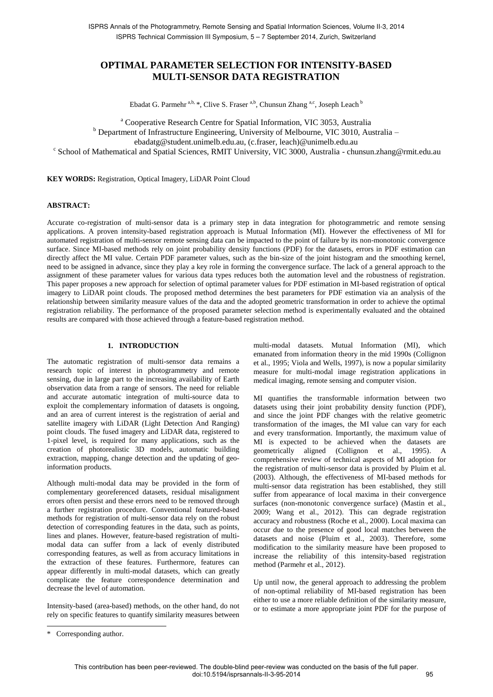# **OPTIMAL PARAMETER SELECTION FOR INTENSITY-BASED MULTI-SENSOR DATA REGISTRATION**

Ebadat G. Parmehr<sup>a,b,</sup> \*, Clive S. Fraser<sup>a,b</sup>, Chunsun Zhang<sup>a,c</sup>, Joseph Leach<sup>b</sup>

<sup>a</sup> Cooperative Research Centre for Spatial Information, VIC 3053, Australia

<sup>b</sup> Department of Infrastructure Engineering, University of Melbourne, VIC 3010, Australia –

ebadatg@student.unimelb.edu.au, (c.fraser, leach)@unimelb.edu.au

c School of Mathematical and Spatial Sciences, RMIT University, VIC 3000, Australia - chunsun.zhang@rmit.edu.au

**KEY WORDS:** Registration, Optical Imagery, LiDAR Point Cloud

### **ABSTRACT:**

Accurate co-registration of multi-sensor data is a primary step in data integration for photogrammetric and remote sensing applications. A proven intensity-based registration approach is Mutual Information (MI). However the effectiveness of MI for automated registration of multi-sensor remote sensing data can be impacted to the point of failure by its non-monotonic convergence surface. Since MI-based methods rely on joint probability density functions (PDF) for the datasets, errors in PDF estimation can directly affect the MI value. Certain PDF parameter values, such as the bin-size of the joint histogram and the smoothing kernel, need to be assigned in advance, since they play a key role in forming the convergence surface. The lack of a general approach to the assignment of these parameter values for various data types reduces both the automation level and the robustness of registration. This paper proposes a new approach for selection of optimal parameter values for PDF estimation in MI-based registration of optical imagery to LiDAR point clouds. The proposed method determines the best parameters for PDF estimation via an analysis of the relationship between similarity measure values of the data and the adopted geometric transformation in order to achieve the optimal registration reliability. The performance of the proposed parameter selection method is experimentally evaluated and the obtained results are compared with those achieved through a feature-based registration method.

### **1. INTRODUCTION**

The automatic registration of multi-sensor data remains a research topic of interest in photogrammetry and remote sensing, due in large part to the increasing availability of Earth observation data from a range of sensors. The need for reliable and accurate automatic integration of multi-source data to exploit the complementary information of datasets is ongoing, and an area of current interest is the registration of aerial and satellite imagery with LiDAR (Light Detection And Ranging) point clouds. The fused imagery and LiDAR data, registered to 1-pixel level, is required for many applications, such as the creation of photorealistic 3D models, automatic building extraction, mapping, change detection and the updating of geoinformation products.

Although multi-modal data may be provided in the form of complementary georeferenced datasets, residual misalignment errors often persist and these errors need to be removed through a further registration procedure. Conventional featured-based methods for registration of multi-sensor data rely on the robust detection of corresponding features in the data, such as points, lines and planes. However, feature-based registration of multimodal data can suffer from a lack of evenly distributed corresponding features, as well as from accuracy limitations in the extraction of these features. Furthermore, features can appear differently in multi-modal datasets, which can greatly complicate the feature correspondence determination and decrease the level of automation.

Intensity-based (area-based) methods, on the other hand, do not rely on specific features to quantify similarity measures between multi-modal datasets. Mutual Information (MI), which emanated from information theory in the mid 1990s (Collignon et al., 1995; Viola and Wells, 1997), is now a popular similarity measure for multi-modal image registration applications in medical imaging, remote sensing and computer vision.

MI quantifies the transformable information between two datasets using their joint probability density function (PDF), and since the joint PDF changes with the relative geometric transformation of the images, the MI value can vary for each and every transformation. Importantly, the maximum value of MI is expected to be achieved when the datasets are geometrically aligned (Collignon et al., 1995). A comprehensive review of technical aspects of MI adoption for the registration of multi-sensor data is provided by Pluim et al. (2003). Although, the effectiveness of MI-based methods for multi-sensor data registration has been established, they still suffer from appearance of local maxima in their convergence surfaces (non-monotonic convergence surface) (Mastin et al., 2009; Wang et al., 2012). This can degrade registration accuracy and robustness (Roche et al., 2000). Local maxima can occur due to the presence of good local matches between the datasets and noise (Pluim et al., 2003). Therefore, some modification to the similarity measure have been proposed to increase the reliability of this intensity-based registration method (Parmehr et al., 2012).

Up until now, the general approach to addressing the problem of non-optimal reliability of MI-based registration has been either to use a more reliable definition of the similarity measure, or to estimate a more appropriate joint PDF for the purpose of

 $\overline{a}$ 

<sup>\*</sup> Corresponding author.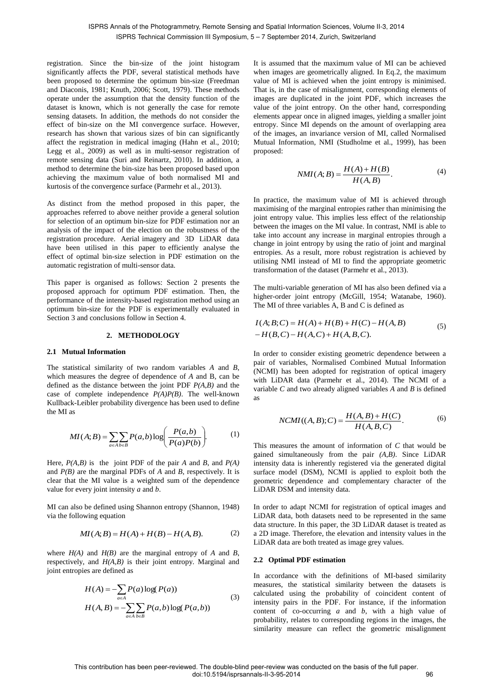registration. Since the bin-size of the joint histogram significantly affects the PDF, several statistical methods have been proposed to determine the optimum bin-size (Freedman and Diaconis, 1981; Knuth, 2006; Scott, 1979). These methods operate under the assumption that the density function of the dataset is known, which is not generally the case for remote sensing datasets. In addition, the methods do not consider the effect of bin-size on the MI convergence surface. However, research has shown that various sizes of bin can significantly affect the registration in medical imaging (Hahn et al., 2010; Legg et al., 2009) as well as in multi-sensor registration of remote sensing data (Suri and Reinartz, 2010). In addition, a method to determine the bin-size has been proposed based upon achieving the maximum value of both normalised MI and kurtosis of the convergence surface (Parmehr et al., 2013).

As distinct from the method proposed in this paper, the approaches referred to above neither provide a general solution for selection of an optimum bin-size for PDF estimation nor an analysis of the impact of the election on the robustness of the registration procedure. Aerial imagery and 3D LiDAR data have been utilised in this paper to efficiently analyse the effect of optimal bin-size selection in PDF estimation on the automatic registration of multi-sensor data.

This paper is organised as follows: Section 2 presents the proposed approach for optimum PDF estimation. Then, the performance of the intensity-based registration method using an optimum bin-size for the PDF is experimentally evaluated in Section 3 and conclusions follow in Section 4.

#### **2. METHODOLOGY**

#### **2.1 Mutual Information**

The statistical similarity of two random variables *A* and *B*, which measures the degree of dependence of *A* and B, can be defined as the distance between the joint PDF *P(A,B)* and the case of complete independence *P(A)P(B)*. The well-known Kullback-Leibler probability divergence has been used to define the MI as

$$
MI(A;B) = \sum_{a \in A} \sum_{b \in B} P(a,b) \log \left( \frac{P(a,b)}{P(a)P(b)} \right).
$$
 (1)

Here, *P(A,B)* is the joint PDF of the pair *A* and *B*, and *P(A)* and *P(B)* are the marginal PDFs of *A* and *B*, respectively. It is clear that the MI value is a weighted sum of the dependence value for every joint intensity *a* and *b*.

MI can also be defined using Shannon entropy (Shannon, 1948) via the following equation

$$
MI(A;B) = H(A) + H(B) - H(A,B).
$$
 (2)

where *H(A)* and *H(B)* are the marginal entropy of *A* and *B*, respectively, and *H(A,B)* is their joint entropy. Marginal and joint entropies are defined as

$$
H(A) = -\sum_{a \in A} P(a) \log(P(a))
$$
  
\n
$$
H(A, B) = -\sum_{a \in A} \sum_{b \in B} P(a, b) \log(P(a, b))
$$
\n(3)

It is assumed that the maximum value of MI can be achieved when images are geometrically aligned. In Eq.2, the maximum value of MI is achieved when the joint entropy is minimised. That is, in the case of misalignment, corresponding elements of images are duplicated in the joint PDF, which increases the value of the joint entropy. On the other hand, corresponding elements appear once in aligned images, yielding a smaller joint entropy. Since MI depends on the amount of overlapping area of the images, an invariance version of MI, called Normalised Mutual Information, NMI (Studholme et al., 1999), has been proposed:

$$
NMI(A;B) = \frac{H(A) + H(B)}{H(A,B)}.
$$
\n<sup>(4)</sup>

In practice, the maximum value of MI is achieved through maximising of the marginal entropies rather than minimising the joint entropy value. This implies less effect of the relationship between the images on the MI value. In contrast, NMI is able to take into account any increase in marginal entropies through a change in joint entropy by using the ratio of joint and marginal entropies. As a result, more robust registration is achieved by utilising NMI instead of MI to find the appropriate geometric transformation of the dataset (Parmehr et al., 2013).

The multi-variable generation of MI has also been defined via a higher-order joint entropy (McGill, 1954; Watanabe, 1960). The MI of three variables A, B and C is defined as

$$
I(A;B;C) = H(A) + H(B) + H(C) - H(A,B)
$$
  
-H(B,C) - H(A,C) + H(A,B,C). (5)

In order to consider existing geometric dependence between a pair of variables, Normalised Combined Mutual Information (NCMI) has been adopted for registration of optical imagery with LiDAR data (Parmehr et al., 2014). The NCMI of a variable *C* and two already aligned variables *A* and *B* is defined as

$$
NCMI((A, B); C) = \frac{H(A, B) + H(C)}{H(A, B, C)}.
$$
 (6)

This measures the amount of information of *C* that would be gained simultaneously from the pair *(A,B)*. Since LiDAR intensity data is inherently registered via the generated digital surface model (DSM), NCMI is applied to exploit both the geometric dependence and complementary character of the LiDAR DSM and intensity data.

In order to adapt NCMI for registration of optical images and LiDAR data, both datasets need to be represented in the same data structure. In this paper, the 3D LiDAR dataset is treated as a 2D image. Therefore, the elevation and intensity values in the LiDAR data are both treated as image grey values.

#### **2.2 Optimal PDF estimation**

In accordance with the definitions of MI-based similarity measures, the statistical similarity between the datasets is calculated using the probability of coincident content of intensity pairs in the PDF. For instance, if the information content of co-occurring *a* and *b*, with a high value of probability, relates to corresponding regions in the images, the similarity measure can reflect the geometric misalignment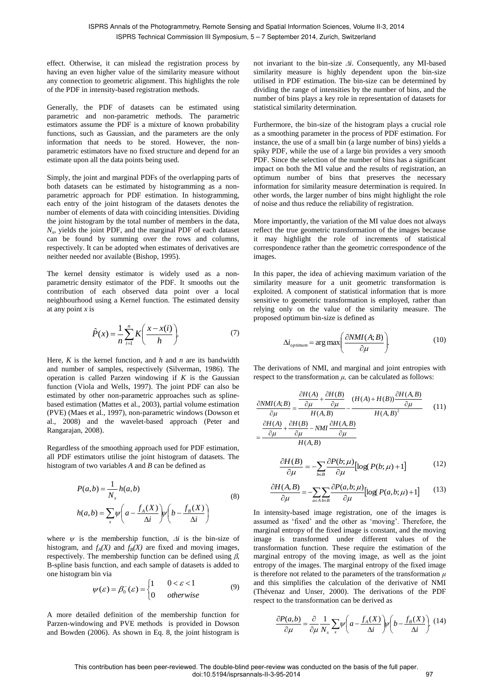effect. Otherwise, it can mislead the registration process by having an even higher value of the similarity measure without any connection to geometric alignment. This highlights the role of the PDF in intensity-based registration methods.

Generally, the PDF of datasets can be estimated using parametric and non-parametric methods. The parametric estimators assume the PDF is a mixture of known probability functions, such as Gaussian, and the parameters are the only information that needs to be stored. However, the nonparametric estimators have no fixed structure and depend for an estimate upon all the data points being used.

Simply, the joint and marginal PDFs of the overlapping parts of both datasets can be estimated by histogramming as a nonparametric approach for PDF estimation. In histogramming, each entry of the joint histogram of the datasets denotes the number of elements of data with coinciding intensities. Dividing the joint histogram by the total number of members in the data, *Nx* , yields the joint PDF, and the marginal PDF of each dataset can be found by summing over the rows and columns, respectively. It can be adopted when estimates of derivatives are neither needed nor available (Bishop, 1995).

The kernel density estimator is widely used as a nonparametric density estimator of the PDF. It smooths out the contribution of each observed data point over a local neighbourhood using a Kernel function. The estimated density at any point *x* is

$$
\hat{P}(x) = \frac{1}{n} \sum_{i=1}^{n} K\left(\frac{x - x(i)}{h}\right).
$$
\n(7)

Here, *K* is the kernel function, and *h* and *n* are its bandwidth and number of samples, respectively (Silverman, 1986). The operation is called Parzen windowing if *K* is the Gaussian function (Viola and Wells, 1997). The joint PDF can also be estimated by other non-parametric approaches such as splinebased estimation (Mattes et al., 2003), partial volume estimation (PVE) (Maes et al., 1997), non-parametric windows (Dowson et al., 2008) and the wavelet-based approach (Peter and Rangarajan, 2008).

Regardless of the smoothing approach used for PDF estimation, all PDF estimators utilise the joint histogram of datasets. The histogram of two variables *A* and *B* can be defined as

$$
P(a,b) = \frac{1}{N_x} h(a,b)
$$
  
\n
$$
h(a,b) = \sum_{x} \psi \left( a - \frac{f_A(X)}{\Delta i} \right) \psi \left( b - \frac{f_B(X)}{\Delta i} \right)
$$
 (8)

where  $\psi$  is the membership function,  $\Delta i$  is the bin-size of histogram, and  $f_A(X)$  and  $f_B(X)$  are fixed and moving images, respectively. The membership function can be defined using  $\beta$ , B-spline basis function, and each sample of datasets is added to one histogram bin via

$$
\psi(\varepsilon) = \beta_0^-(\varepsilon) = \begin{cases} 1 & 0 < \varepsilon < 1 \\ 0 & \text{otherwise} \end{cases}
$$
 (9)

A more detailed definition of the membership function for Parzen-windowing and PVE methods is provided in Dowson and Bowden (2006). As shown in Eq. 8, the joint histogram is

not invariant to the bin-size  $\Delta i$ . Consequently, any MI-based similarity measure is highly dependent upon the bin-size utilised in PDF estimation. The bin-size can be determined by dividing the range of intensities by the number of bins, and the number of bins plays a key role in representation of datasets for statistical similarity determination.

Furthermore, the bin-size of the histogram plays a crucial role as a smoothing parameter in the process of PDF estimation. For instance, the use of a small bin (a large number of bins) yields a spiky PDF, while the use of a large bin provides a very smooth PDF. Since the selection of the number of bins has a significant impact on both the MI value and the results of registration, an optimum number of bins that preserves the necessary information for similarity measure determination is required. In other words, the larger number of bins might highlight the role of noise and thus reduce the reliability of registration.

More importantly, the variation of the MI value does not always reflect the true geometric transformation of the images because it may highlight the role of increments of statistical correspondence rather than the geometric correspondence of the images.

In this paper, the idea of achieving maximum variation of the similarity measure for a unit geometric transformation is exploited. A component of statistical information that is more sensitive to geometric transformation is employed, rather than relying only on the value of the similarity measure. The proposed optimum bin-size is defined as

$$
\Delta i_{\text{optimum}} = \arg \max \left( \frac{\partial NMI(A;B)}{\partial \mu} \right). \tag{10}
$$

The derivations of NMI, and marginal and joint entropies with respect to the transformation *μ,* can be calculated as follows:

$$
\frac{\partial NMI(A;B)}{\partial \mu} = \frac{\frac{\partial H(A)}{\partial \mu} + \frac{\partial H(B)}{\partial \mu}}{H(A,B)} - \frac{(H(A) + H(B))\frac{\partial H(A,B)}{\partial \mu}}{H(A,B)^2}
$$
(11)  
= 
$$
\frac{\frac{\partial H(A)}{\partial \mu} + \frac{\partial H(B)}{\partial \mu} - NMI \frac{\partial H(A,B)}{\partial \mu}}{H(A,B)}
$$

$$
\frac{\partial H(B)}{\partial \mu} = -\sum_{b \in B} \frac{\partial P(b; \mu)}{\partial \mu} \left[ \log(P(b; \mu) + 1) \right] \tag{12}
$$

$$
\frac{\partial H(A,B)}{\partial \mu} = -\sum_{a \in A} \sum_{b \in B} \frac{\partial P(a,b;\mu)}{\partial \mu} \left[ \log P(a,b;\mu) + 1 \right] \tag{13}
$$

In intensity-based image registration, one of the images is assumed as 'fixed' and the other as 'moving'. Therefore, the marginal entropy of the fixed image is constant, and the moving image is transformed under different values of the transformation function. These require the estimation of the marginal entropy of the moving image, as well as the joint entropy of the images. The marginal entropy of the fixed image is therefore not related to the parameters of the transformation  $\mu$ and this simplifies the calculation of the derivative of NMI (Thévenaz and Unser, 2000). The derivations of the PDF respect to the transformation can be derived as

$$
\frac{\partial P(a,b)}{\partial \mu} = \frac{\partial}{\partial \mu} \frac{1}{N_x} \sum_{x} \psi \left( a - \frac{f_A(X)}{\Delta i} \right) \psi \left( b - \frac{f_B(X)}{\Delta i} \right). (14)
$$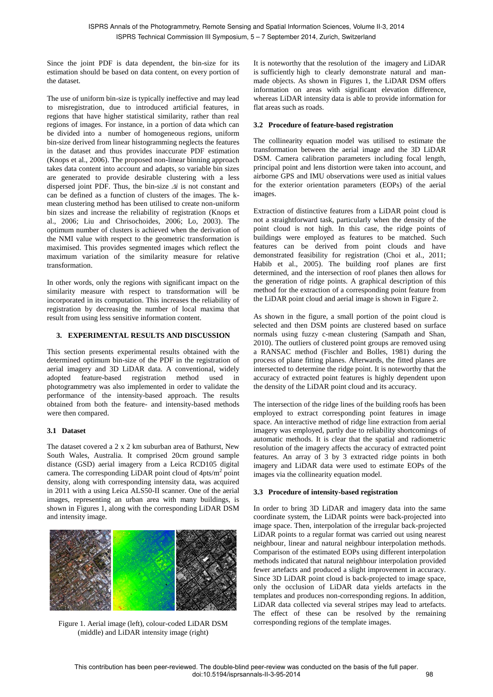Since the joint PDF is data dependent, the bin-size for its estimation should be based on data content, on every portion of the dataset.

The use of uniform bin-size is typically ineffective and may lead to misregistration, due to introduced artificial features, in regions that have higher statistical similarity, rather than real regions of images. For instance, in a portion of data which can be divided into a number of homogeneous regions, uniform bin-size derived from linear histogramming neglects the features in the dataset and thus provides inaccurate PDF estimation (Knops et al., 2006). The proposed non-linear binning approach takes data content into account and adapts, so variable bin sizes are generated to provide desirable clustering with a less dispersed joint PDF. Thus, the bin-size  $\Delta i$  is not constant and can be defined as a function of clusters of the images. The kmean clustering method has been utilised to create non-uniform bin sizes and increase the reliability of registration (Knops et al., 2006; Liu and Chrisochoides, 2006; Lo, 2003). The optimum number of clusters is achieved when the derivation of the NMI value with respect to the geometric transformation is maximised. This provides segmented images which reflect the maximum variation of the similarity measure for relative transformation.

In other words, only the regions with significant impact on the similarity measure with respect to transformation will be incorporated in its computation. This increases the reliability of registration by decreasing the number of local maxima that result from using less sensitive information content.

# **3. EXPERIMENTAL RESULTS AND DISCUSSION**

This section presents experimental results obtained with the determined optimum bin-size of the PDF in the registration of aerial imagery and 3D LiDAR data. A conventional, widely adopted feature-based registration method used in photogrammetry was also implemented in order to validate the performance of the intensity-based approach. The results obtained from both the feature- and intensity-based methods were then compared.

# **3.1 Dataset**

The dataset covered a 2 x 2 km suburban area of Bathurst, New South Wales, Australia. It comprised 20cm ground sample distance (GSD) aerial imagery from a Leica RCD105 digital camera. The corresponding LiDAR point cloud of  $4pts/m^2$  point density, along with corresponding intensity data, was acquired in 2011 with a using Leica ALS50-II scanner. One of the aerial images, representing an urban area with many buildings, is shown in Figures 1, along with the corresponding LiDAR DSM and intensity image.



Figure 1. Aerial image (left), colour-coded LiDAR DSM (middle) and LiDAR intensity image (right)

It is noteworthy that the resolution of the imagery and LiDAR is sufficiently high to clearly demonstrate natural and manmade objects. As shown in Figures 1, the LiDAR DSM offers information on areas with significant elevation difference, whereas LiDAR intensity data is able to provide information for flat areas such as roads.

# **3.2 Procedure of feature-based registration**

The collinearity equation model was utilised to estimate the transformation between the aerial image and the 3D LiDAR DSM. Camera calibration parameters including focal length, principal point and lens distortion were taken into account, and airborne GPS and IMU observations were used as initial values for the exterior orientation parameters (EOPs) of the aerial images.

Extraction of distinctive features from a LiDAR point cloud is not a straightforward task, particularly when the density of the point cloud is not high. In this case, the ridge points of buildings were employed as features to be matched. Such features can be derived from point clouds and have demonstrated feasibility for registration (Choi et al., 2011; Habib et al., 2005). The building roof planes are first determined, and the intersection of roof planes then allows for the generation of ridge points. A graphical description of this method for the extraction of a corresponding point feature from the LiDAR point cloud and aerial image is shown in Figure 2.

As shown in the figure, a small portion of the point cloud is selected and then DSM points are clustered based on surface normals using fuzzy c-mean clustering (Sampath and Shan, 2010). The outliers of clustered point groups are removed using a RANSAC method (Fischler and Bolles, 1981) during the process of plane fitting planes. Afterwards, the fitted planes are intersected to determine the ridge point. It is noteworthy that the accuracy of extracted point features is highly dependent upon the density of the LiDAR point cloud and its accuracy.

The intersection of the ridge lines of the building roofs has been employed to extract corresponding point features in image space. An interactive method of ridge line extraction from aerial imagery was employed, partly due to reliability shortcomings of automatic methods. It is clear that the spatial and radiometric resolution of the imagery affects the accuracy of extracted point features. An array of 3 by 3 extracted ridge points in both imagery and LiDAR data were used to estimate EOPs of the images via the collinearity equation model.

# **3.3 Procedure of intensity-based registration**

In order to bring 3D LiDAR and imagery data into the same coordinate system, the LiDAR points were back-projected into image space. Then, interpolation of the irregular back-projected LiDAR points to a regular format was carried out using nearest neighbour, linear and natural neighbour interpolation methods. Comparison of the estimated EOPs using different interpolation methods indicated that natural neighbour interpolation provided fewer artefacts and produced a slight improvement in accuracy. Since 3D LiDAR point cloud is back-projected to image space, only the occlusion of LiDAR data yields artefacts in the templates and produces non-corresponding regions. In addition, LiDAR data collected via several stripes may lead to artefacts. The effect of these can be resolved by the remaining corresponding regions of the template images.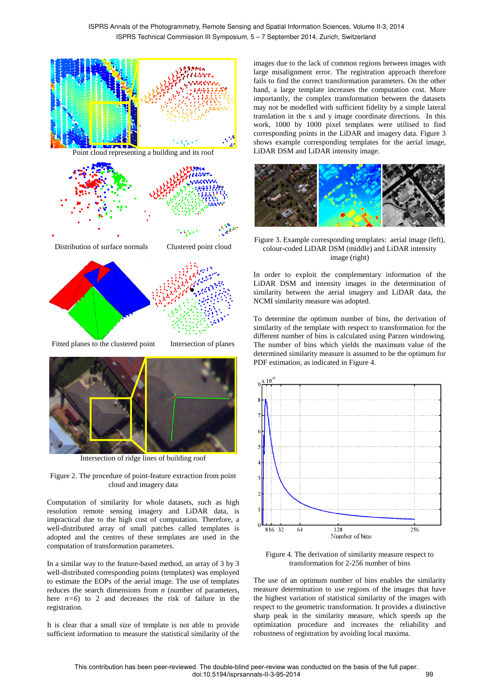

Distribution of surface normals Clustered point cloud





Fitted planes to the clustered point Intersection of planes



Intersection of ridge lines of building roof

Figure 2. The procedure of point-feature extraction from point cloud and imagery data

Computation of similarity for whole datasets, such as high resolution remote sensing imagery and LiDAR data, is impractical due to the high cost of computation. Therefore, a well-distributed array of small patches called templates is adopted and the centres of these templates are used in the computation of transformation parameters.

In a similar way to the feature-based method, an array of 3 by 3 well-distributed corresponding points (templates) was employed to estimate the EOPs of the aerial image. The use of templates reduces the search dimensions from *n* (number of parameters, here  $n=6$ ) to 2 and decreases the risk of failure in the registration.

It is clear that a small size of template is not able to provide sufficient information to measure the statistical similarity of the images due to the lack of common regions between images with large misalignment error. The registration approach therefore fails to find the correct transformation parameters. On the other hand, a large template increases the computation cost. More importantly, the complex transformation between the datasets may not be modelled with sufficient fidelity by a simple lateral translation in the x and y image coordinate directions. In this work, 1000 by 1000 pixel templates were utilised to find corresponding points in the LiDAR and imagery data. Figure 3 shows example corresponding templates for the aerial image, LiDAR DSM and LiDAR intensity image.





In order to exploit the complementary information of the LiDAR DSM and intensity images in the determination of similarity between the aerial imagery and LiDAR data, the NCMI similarity measure was adopted.

To determine the optimum number of bins, the derivation of similarity of the template with respect to transformation for the different number of bins is calculated using Parzen windowing. The number of bins which yields the maximum value of the determined similarity measure is assumed to be the optimum for PDF estimation, as indicated in Figure 4.



Figure 4. The derivation of similarity measure respect to transformation for 2-256 number of bins

The use of an optimum number of bins enables the similarity measure determination to use regions of the images that have the highest variation of statistical similarity of the images with respect to the geometric transformation. It provides a distinctive sharp peak in the similarity measure, which speeds up the optimization procedure and increases the reliability and robustness of registration by avoiding local maxima.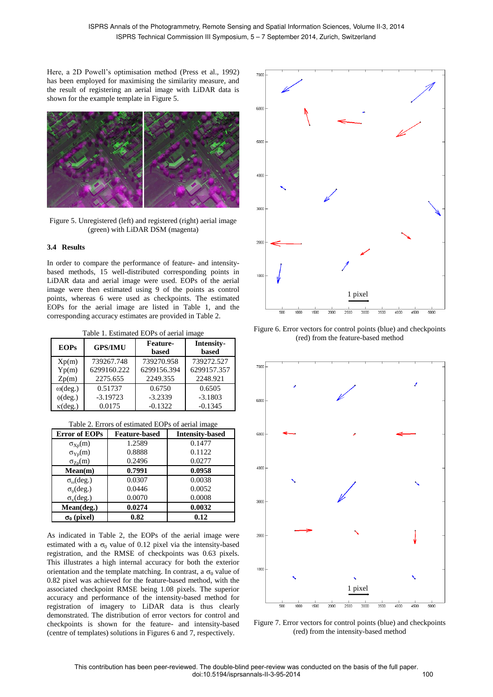Here, a 2D Powell's optimisation method (Press et al., 1992) has been employed for maximising the similarity measure, and the result of registering an aerial image with LiDAR data is shown for the example template in Figure 5.



Figure 5. Unregistered (left) and registered (right) aerial image (green) with LiDAR DSM (magenta)

## **3.4 Results**

In order to compare the performance of feature- and intensitybased methods, 15 well-distributed corresponding points in LiDAR data and aerial image were used. EOPs of the aerial image were then estimated using 9 of the points as control points, whereas 6 were used as checkpoints. The estimated EOPs for the aerial image are listed in Table 1, and the corresponding accuracy estimates are provided in Table 2.

Table 1. Estimated EOPs of aerial image

| <b>EOPs</b>         | <b>GPS/IMU</b> | <b>Feature-</b><br>based | Intensity-<br>based |
|---------------------|----------------|--------------------------|---------------------|
| Xp(m)               | 739267.748     | 739270.958               | 739272.527          |
| Yp(m)               | 6299160.222    | 6299156.394              | 6299157.357         |
| Zp(m)               | 2275.655       | 2249.355                 | 2248.921            |
| $\omega$ (deg.)     | 0.51737        | 0.6750                   | 0.6505              |
| $\phi(\text{deg.})$ | $-3.19723$     | $-3.2339$                | $-3.1803$           |
| $\kappa$ (deg.)     | 0.0175         | $-0.1322$                | $-0.1345$           |

| <b>Error of EOPs</b>     | <b>Feature-based</b> | <b>Intensity-based</b> |
|--------------------------|----------------------|------------------------|
| $\sigma_{Xp}(m)$         | 1.2589               | 0.1477                 |
| $\sigma_{\text{Yp}}(m)$  | 0.8888               | 0.1122                 |
| $\sigma_{Zp}(m)$         | 0.2496               | 0.0277                 |
| Mean(m)                  | 0.7991               | 0.0958                 |
| $\sigma_{\omega}$ (deg.) | 0.0307               | 0.0038                 |
| $\sigma_{\phi}$ (deg.)   | 0.0446               | 0.0052                 |
| $\sigma_{\kappa}$ (deg.) | 0.0070               | 0.0008                 |
| Mean(deg.)               | 0.0274               | 0.0032                 |
| $\sigma_0$ (pixel)       | 0.82                 | 0.12                   |

As indicated in Table 2, the EOPs of the aerial image were estimated with a  $\sigma_0$  value of 0.12 pixel via the intensity-based registration, and the RMSE of checkpoints was 0.63 pixels. This illustrates a high internal accuracy for both the exterior orientation and the template matching. In contrast, a  $\sigma_0$  value of 0.82 pixel was achieved for the feature-based method, with the associated checkpoint RMSE being 1.08 pixels. The superior accuracy and performance of the intensity-based method for registration of imagery to LiDAR data is thus clearly demonstrated. The distribution of error vectors for control and checkpoints is shown for the feature- and intensity-based (centre of templates) solutions in Figures 6 and 7, respectively.



Figure 6. Error vectors for control points (blue) and checkpoints (red) from the feature-based method



Figure 7. Error vectors for control points (blue) and checkpoints (red) from the intensity-based method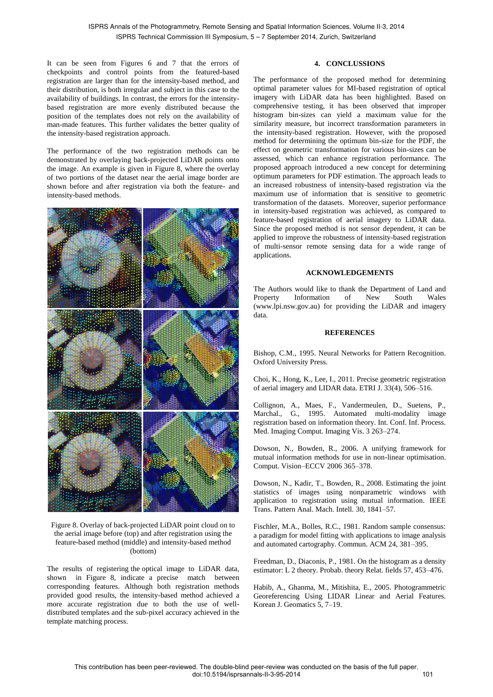It can be seen from Figures 6 and 7 that the errors of checkpoints and control points from the featured-based registration are larger than for the intensity-based method, and their distribution, is both irregular and subject in this case to the availability of buildings. In contrast, the errors for the intensitybased registration are more evenly distributed because the position of the templates does not rely on the availability of man-made features. This further validates the better quality of the intensity-based registration approach.

The performance of the two registration methods can be demonstrated by overlaying back-projected LiDAR points onto the image. An example is given in Figure 8, where the overlay of two portions of the dataset near the aerial image border are shown before and after registration via both the feature- and intensity-based methods.



Figure 8. Overlay of back-projected LiDAR point cloud on to the aerial image before (top) and after registration using the feature-based method (middle) and intensity-based method (bottom)

The results of registering the optical image to LiDAR data, shown in Figure 8, indicate a precise match between corresponding features. Although both registration methods provided good results, the intensity-based method achieved a more accurate registration due to both the use of welldistributed templates and the sub-pixel accuracy achieved in the template matching process.

# **4. CONCLUSSIONS**

The performance of the proposed method for determining optimal parameter values for MI-based registration of optical imagery with LiDAR data has been highlighted. Based on comprehensive testing, it has been observed that improper histogram bin-sizes can yield a maximum value for the similarity measure, but incorrect transformation parameters in the intensity-based registration. However, with the proposed method for determining the optimum bin-size for the PDF, the effect on geometric transformation for various bin-sizes can be assessed, which can enhance registration performance. The proposed approach introduced a new concept for determining optimum parameters for PDF estimation. The approach leads to an increased robustness of intensity-based registration via the maximum use of information that is sensitive to geometric transformation of the datasets. Moreover, superior performance in intensity-based registration was achieved, as compared to feature-based registration of aerial imagery to LiDAR data. Since the proposed method is not sensor dependent, it can be applied to improve the robustness of intensity-based registration of multi-sensor remote sensing data for a wide range of applications.

# **ACKNOWLEDGEMENTS**

The Authors would like to thank the Department of Land and Property Information of New South Wales (www.lpi.nsw.gov.au) for providing the LiDAR and imagery data.

# **REFERENCES**

Bishop, C.M., 1995. Neural Networks for Pattern Recognition. Oxford University Press.

Choi, K., Hong, K., Lee, I., 2011. Precise geometric registration of aerial imagery and LIDAR data. ETRI J. 33(4), 506–516.

Collignon, A., Maes, F., Vandermeulen, D., Suetens, P., Marchal., G., 1995. Automated multi-modality image registration based on information theory. Int. Conf. Inf. Process. Med. Imaging Comput. Imaging Vis. 3 263–274.

Dowson, N., Bowden, R., 2006. A unifying framework for mutual information methods for use in non-linear optimisation. Comput. Vision–ECCV 2006 365–378.

Dowson, N., Kadir, T., Bowden, R., 2008. Estimating the joint statistics of images using nonparametric windows with application to registration using mutual information. IEEE Trans. Pattern Anal. Mach. Intell. 30, 1841–57.

Fischler, M.A., Bolles, R.C., 1981. Random sample consensus: a paradigm for model fitting with applications to image analysis and automated cartography. Commun. ACM 24, 381–395.

Freedman, D., Diaconis, P., 1981. On the histogram as a density estimator: L 2 theory. Probab. theory Relat. fields 57, 453–476.

Habib, A., Ghanma, M., Mitishita, E., 2005. Photogrammetric Georeferencing Using LIDAR Linear and Aerial Features. Korean J. Geomatics 5, 7–19.